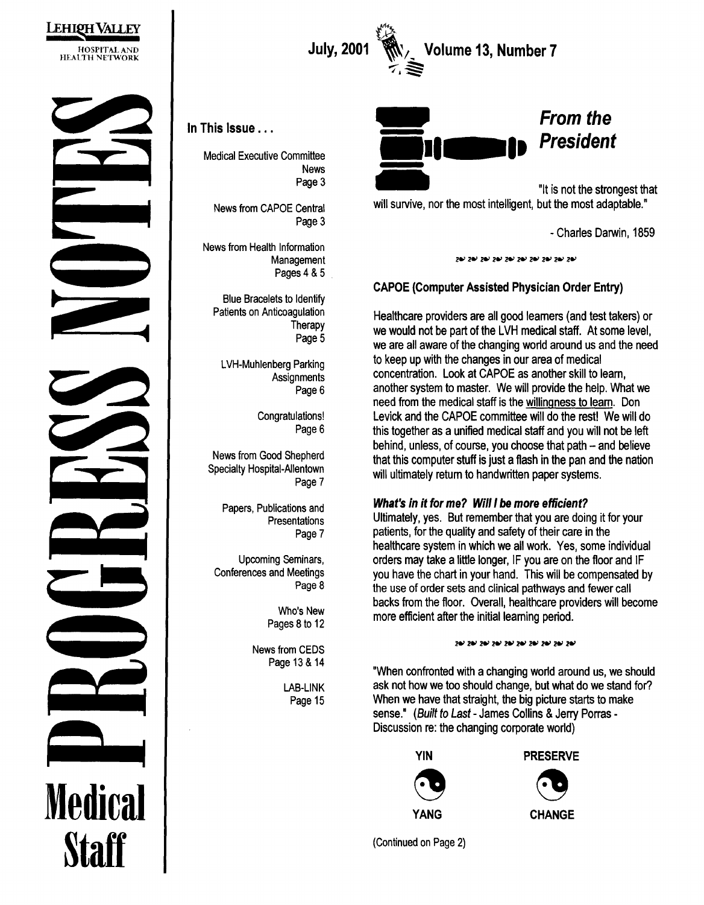



 $\sum_{i=1}^{n}$ July, 2001 \\\, Volume 13, Number 7 )<br>(顺)<br>1<br>(

In This Issue ...

Medical Executive Committee News Page 3

News from CAPOE Central Page 3

News from Health Information **Management** Pages 4 & 5

Blue Bracelets to Identify Patients on Anticoagulation **Therapy** Page 5

> LVH-Muhlenberg Parking **Assignments** Page 6

> > Congratulations! Page 6

News from Good Shepherd Specialty Hospital-Allentown Page 7

Papers, Publications and Presentations Page 7

Upcoming Seminars, Conferences and Meetings Page 8

> Who's New Pages 8 to 12

News from CEDS Page 13 & 14

> LAB-LINK Page 15



"It is not the strongest that will survive, nor the most intelligent, but the most adaptable."

-Charles Darwin, 1859

نوح نوح نوح نوح نوح نوح نوح نوح ن

#### CAPOE (Computer Assisted Physician Order Entry)

Healthcare providers are all good learners (and test takers) or we would not be part of the LVH medical staff. At some level, we are all aware of the changing world around us and the need to keep up with the changes in our area of medical concentration. Look at CAPOE as another skill to learn, another system to master. We will provide the help. What we need from the medical staff is the willingness to learn. Don Levick and the CAPOE committee will do the rest! We will do this together as a unified medical staff and you will not be left behind, unless, of course, you choose that path  $-$  and believe that this computer stuff is just a flash in the pan and the nation will ultimately return to handwritten paper systems.

#### What's in it for me? Will I be more efficient?

Ultimately, yes. But remember that you are doing it for your patients, for the quality and safety of their care in the healthcare system in which we all work. Yes, some individual orders may take a little longer, IF you are on the floor and IF you have the chart in your hand. This will be compensated by the use of order sets and clinical pathways and fewer call backs from the floor. Overall, healthcare providers will become more efficient after the initial learning period.

#### 24/ 24/ 24/ 24/ 24/ 24/ 24/ 24/ 24/

"When confronted with a changing world around us, we should ask not how we too should change, but what do we stand for? When we have that straight, the big picture starts to make sense." (Built to Last- James Collins & Jerry Porras-Discussion re: the changing corporate world)





(Continued on Page 2)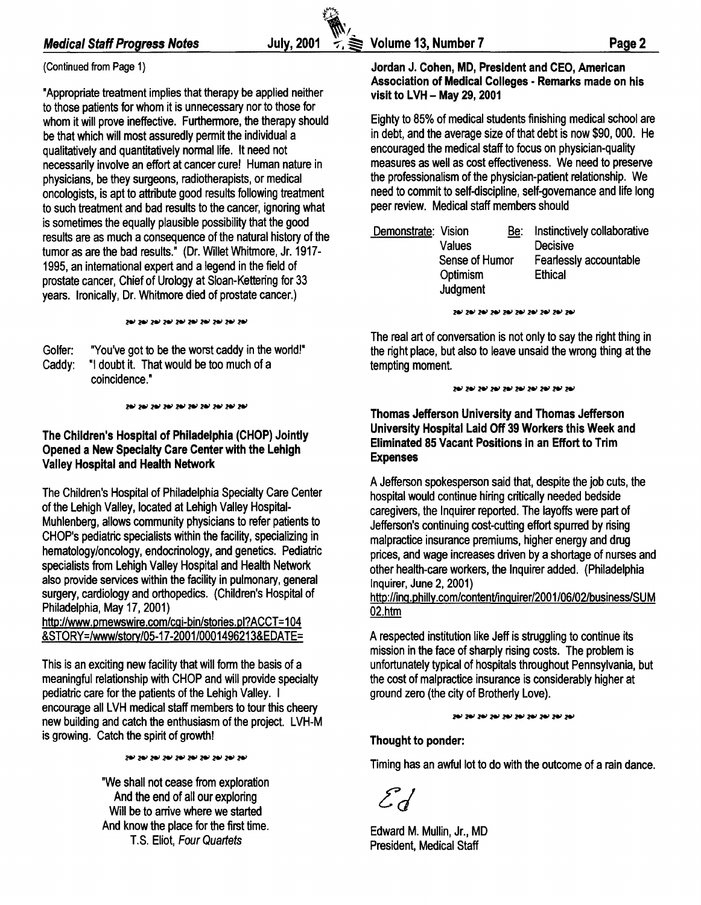# (Continued from Page 1}

"Appropriate treatment implies that therapy be applied neither to those patients for whom it is unnecessary nor to those for whom it will prove ineffective. Furthermore, the therapy should be that which will most assuredly permit the individual a qualitatively and quantitatively normal life. It need not necessarily involve an effort at cancer cure! Human nature in physicians, be they surgeons, radiotherapists, or medical oncologists, is apt to attribute good results following treatment to such treatment and bad results to the cancer, ignoring what is sometimes the equally plausible possibility that the good results are as much a consequence of the natural history of the tumor as are the bad results." (Dr. Willet Whitmore, Jr. 1917- 1995, an international expert and a legend in the field of prostate cancer, Chief of Urology at Sloan-Kettering for 33 years. Ironically, Dr. Whitmore died of prostate cancer.)

שק שק שק שק שק שק שק שק שק שק שק

Golfer: "You've got to be the worst caddy in the world!" Caddy: "I doubt it. That would be too much of a coincidence."

שכ שכ שכ שכ שכ שכ שכ שכ שכ שכ שכ

#### The Children's Hospital of Philadelphia (CHOP) Jointly Opened a New Specialty Care Center with the Lehigh Valley Hospital and Health Network

The Children's Hospital of Philadelphia Specialty Care Center of the Lehigh Valley, located at Lehigh Valley Hospital-Muhlenberg, allows community physicians to refer patients to CHOP's pediatric specialists within the facility, specializing in hematology/oncology, endocrinology, and genetics. Pediatric specialists from Lehigh Valley Hospital and Health Network also provide services within the facility in pulmonary, general surgery, cardiology and orthopedics. (Children's Hospital of Philadelphia, May 17, 2001)

http://www.pmewswire.com/cgi-bin/stories.pl?ACCT=104 &STORY=/www/story/05-17 -2001/0001496213&EDATE=

This is an exciting new facility that will form the basis of a meaningful relationship with CHOP and will provide specialty pediatric care for the patients of the Lehigh Valley. I encourage all LVH medical staff members to tour this cheery new building and catch the enthusiasm of the project. LVH-M is growing. Catch the spirit of growth!

نوح نوح نوح نوح نوح نوح نوح نوح نوح نوح

"We shall not cease from exploration And the end of all our exploring Will be to arrive where we started And know the place for the first time. T.S. Eliot, Four Quartets

t'7)< ~,..,

#### Jordan J. Cohen, MD, President and CEO, American Association of Medical Colleges - Remarks made on his visit to LVH - May 29, 2001

Eighty to 85% of medical students finishing medical school are in debt, and the average size of that debt is now \$90, 000. He encouraged the medical staff to focus on physician-quality measures as well as cost effectiveness. We need to preserve the professionalism of the physician-patient relationship. We need to commit to self-discipline, self-governance and life long peer review. Medical staff members should

| Demonstrate: Vision | Values                                 | <u>Be:</u> | Instinctively collaborative<br><b>Decisive</b> |
|---------------------|----------------------------------------|------------|------------------------------------------------|
|                     | Sense of Humor<br>Optimism<br>Judgment |            | Fearlessly accountable<br><b>Ethical</b>       |

نوح نوح نوح نوح نوح نوح نوح نوح نوح نوح

The real art of conversation is not only to say the right thing in the right place, but also to leave unsaid the wrong thing at the tempting moment.

#### 28/ 28/ 28/ 28/ 28/ 28/ 28/ 28/ 28/

Thomas Jefferson University and Thomas Jefferson University Hospital Laid Off 39 Workers this Week and Eliminated 85 Vacant Positions in an Effort to Trim Expenses

A Jefferson spokesperson said that, despite the job cuts, the hospital would continue hiring critically needed bedside caregivers, the Inquirer reported. The layoffs were part of Jefferson's continuing cost-cutting effort spurred by rising malpractice insurance premiums, higher energy and drug prices, and wage increases driven by a shortage of nurses and other health-care workers, the Inquirer added. (Philadelphia Inquirer, June 2, 2001)

http:l/inq.philly.com/content/inquirer/2001/06/02/business/SUM 02.htm

A respected institution like Jeff is struggling to continue its mission in the face of sharply rising costs. The problem is unfortunately typical of hospitals throughout Pennsylvania, but the cost of malpractice insurance is considerably higher at ground zero (the city of Brotherly Love).

24/ 24/ 24/ 24/ 24/ 24/ 24/ 24/ 24/

#### Thought to ponder:

Timing has an awful lot to do with the outcome of a rain dance.

 $\mathcal{E}_d$ 

Edward M. Mullin, Jr., MD President, Medical Staff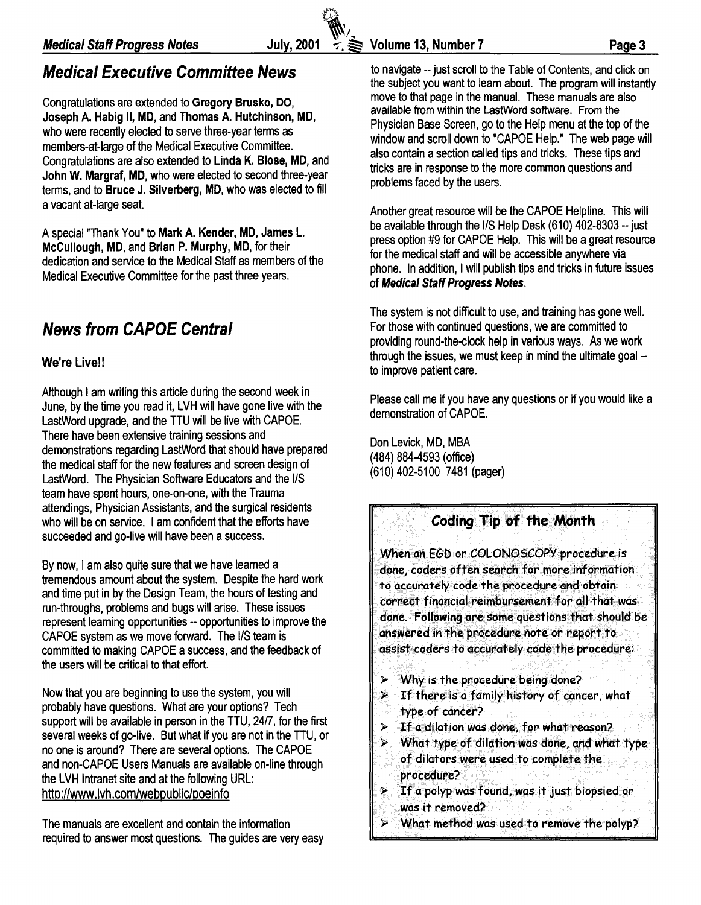Congratulations are extended to Gregory Brusko, DO, Joseph A. Habig II, MD, and Thomas A. Hutchinson, MD, who were recently elected to serve three-year terms as members-at-large of the Medical Executive Committee. Congratulations are also extended to Linda K. Blose, MD, and John W. Margraf, MD, who were elected to second three-year terms, and to Bruce J. Silverberg, MD, who was elected to fill a vacant at-large seat.

A special "Thank You" to Mark A. Kender, MD, James L. McCullough, MD, and Brian P. Murphy, MD, for their dedication and service to the Medical Staff as members of the Medical Executive Committee for the past three years.

# News from CAPOE Central

#### We're Live!!

Although I am writing this article during the second week in June, by the time you read it, LVH will have gone live with the LastWord upgrade, and the TTU will be live with CAPOE. There have been extensive training sessions and demonstrations regarding LastWord that should have prepared the medical staff for the new features and screen design of LastWord. The Physician Software Educators and the 1/S team have spent hours, one-on-one, with the Trauma attendings, Physician Assistants, and the surgical residents who will be on service. I am confident that the efforts have succeeded and go-live will have been a success.

By now, I am also quite sure that we have learned a tremendous amount about the system. Despite the hard work and time put in by the Design Team, the hours of testing and run-throughs, problems and bugs will arise. These issues represent learning opportunities -- opportunities to improve the CAPOE system as we move forward. The 1/S team is committed to making CAPOE a success, and the feedback of the users will be critical to that effort.

Now that you are beginning to use the system, you will probably have questions. What are your options? Tech support will be available in person in the TTU, 24/7, for the first several weeks of go-live. But what if you are not in the TTU, or no one is around? There are several options. The CAPOE and non-CAPOE Users Manuals are available on-line through the LVH Intranet site and at the following URL: http://www.lvh.com/webpublic/poeinfo

The manuals are excellent and contain the information required to answer most questions. The guides are very easy

Medical Staff Progress Notes<br>
Medical Staff Progress Notes July, 2001  $\leq$  > Volume 13, Number 7 Page 3<br>
Medical Executive Committee News to navigate -- just scroll to the Table of Contents, and click on **Medical Executive Committee News** to navigate -- just scroll to the Table of Contents, and click on the subject you want to learn about. The program will instantly move to that page in the manual. These manuals are also available from within the LastWord software. From the Physician Base Screen, go to the Help menu at the top of the window and scroll down to "CAPOE Help." The web page will also contain a section called tips and tricks. These tips and tricks are in response to the more common questions and problems faced by the users.

> Another great resource will be the CAPOE Helpline. This will be available through the I/S Help Desk (610) 402-8303 -- just press option #9 for CAPOE Help. This will be a great resource for the medical staff and will be accessible anywhere via phone. In addition, I will publish tips and tricks in future issues of Medical Staff Progress Notes.

The system is not difficult to use, and training has gone well. For those with continued questions, we are committed to providing round-the-clock help in various ways. As we work through the issues, we must keep in mind the ultimate goal -to improve patient care.

Please call me if you have any questions or if you would like a demonstration of CAPOE.

Don Levick, MD, MBA (484) 884-4593 (office) (610) 402-5100 7481 (pager)

## Coding Tip of the Month

When an EGD or COLONOSCOPY procedure is done, coders often search for more information to accurately code the procedure and obtain correct financial reimbursement for all that was done. Following are some questions that should be answered in the procedure note *or* report to assist coders to accurately code the procedure:

- $\triangleright$  Why is the procedure being done?
- $>$  If there is a family history of cancer, what type of cancer?
- $>$  If a dilation was done, for what reason?
- $\triangleright$  What type of dilation was done, and what type of dilators were used to complete the procedure?
- > If a polyp was found,was it just biopsied or was it removed?
- > What method was used to remove the polyp?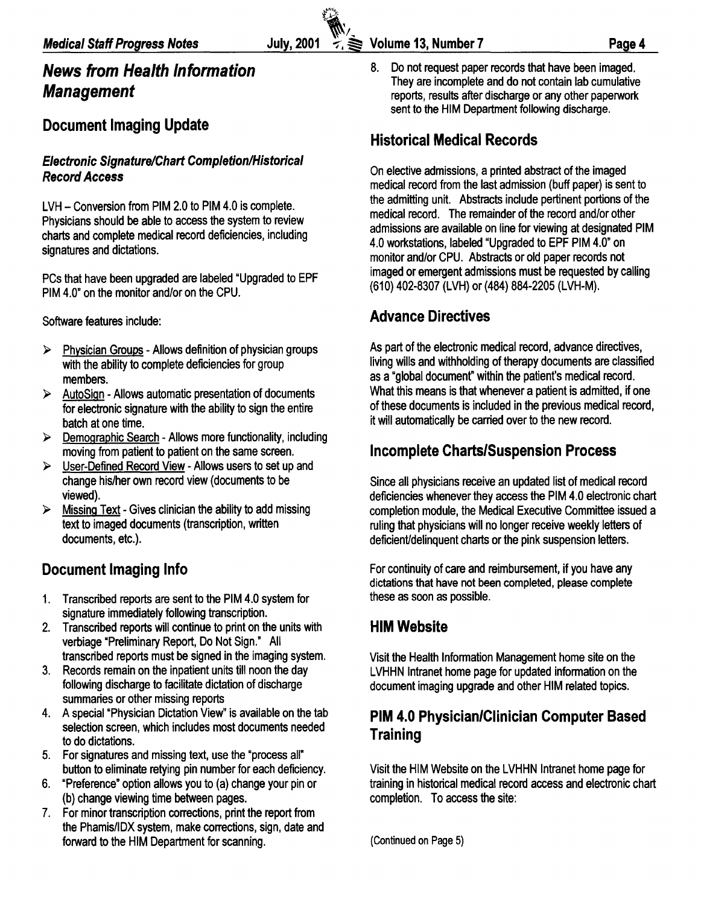# **News from Health Information Management**

# **Document Imaging Update**

#### **Electronic Signature/Chart Completion/Historical Record Access**

LVH- Conversion from PIM 2.0 to PIM 4.0 is complete. Physicians should be able to access the system to review charts and complete medical record deficiencies, including signatures and dictations.

PCs that have been upgraded are labeled "Upgraded to EPF PIM 4.0" on the monitor and/or on the CPU.

Software features include:

- > Physician Groups Allows definition of physician groups with the ability to complete deficiencies for group members.
- $\triangleright$  AutoSign Allows automatic presentation of documents for electronic signature with the ability to sign the entire batch at one time.
- <sup>~</sup>Demographic Search Allows more functionality, including moving from patient to patient on the same screen.
- $\triangleright$  User-Defined Record View Allows users to set up and change his/her own record view (documents to be viewed).
- $\triangleright$  Missing Text Gives clinician the ability to add missing text to imaged documents (transcription, written documents, etc.).

# **Document Imaging Info**

- 1. Transcribed reports are sent to the PIM 4.0 system for signature immediately following transcription.
- 2. Transcribed reports will continue to print on the units with verbiage "Preliminary Report, Do Not Sign." All transcribed reports must be signed in the imaging system.
- 3. Records remain on the inpatient units till noon the day following discharge to facilitate dictation of discharge summaries or other missing reports
- 4. A special "Physician Dictation View" is available on the tab selection screen, which includes most documents needed to do dictations.
- 5. For signatures and missing text, use the "process all" button to eliminate retying pin number for each deficiency.
- 6. "Preference" option allows you to (a) change your pin or (b) change viewing time between pages.
- 7. For minor transcription corrections, print the report from the Phamis/IDX system, make corrections, sign, date and forward to the HIM Department for scanning.

8. Do not request paper records that have been imaged. They are incomplete and do not contain lab cumulative reports, results after discharge or any other paperwork sent to the HIM Department following discharge.

# **Historical Medical Records**

On elective admissions, a printed abstract of the imaged medical record from the last admission (buff paper) is sent to the admitting unit. Abstracts include pertinent portions of the medical record. The remainder of the record and/or other admissions are available on line for viewing at designated PIM 4.0 workstations, labeled "Upgraded to EPF PIM 4.0" on monitor and/or CPU. Abstracts or old paper records not imaged or emergent admissions must be requested by calling (610) 402-8307 (LVH) or (484) 884-2205 (LVH-M).

# **Advance Directives**

As part of the electronic medical record, advance directives, living wills and withholding of therapy documents are classified as a "global document" within the patient's medical record. What this means is that whenever a patient is admitted, if one of these documents is included in the previous medical record, it will automatically be carried over to the new record.

# **Incomplete Charts/Suspension Process**

Since all physicians receive an updated list of medical record deficiencies whenever they access the PIM 4.0 electronic chart completion module, the Medical Executive Committee issued a ruling that physicians will no longer receive weekly letters of deficient/delinquent charts or the pink suspension letters.

For continuity of care and reimbursement, if you have any dictations that have not been completed, please complete these as soon as possible.

# **HIM Website**

Visit the Health Information Management home site on the LVHHN Intranet home page for updated information on the document imaging upgrade and other HIM related topics.

# **PIM 4.0 Physician/Clinician Computer Based Training**

Visit the HIM Website on the LVHHN Intranet home page for training in historical medical record access and electronic chart completion. To access the site:

(Continued on Page 5)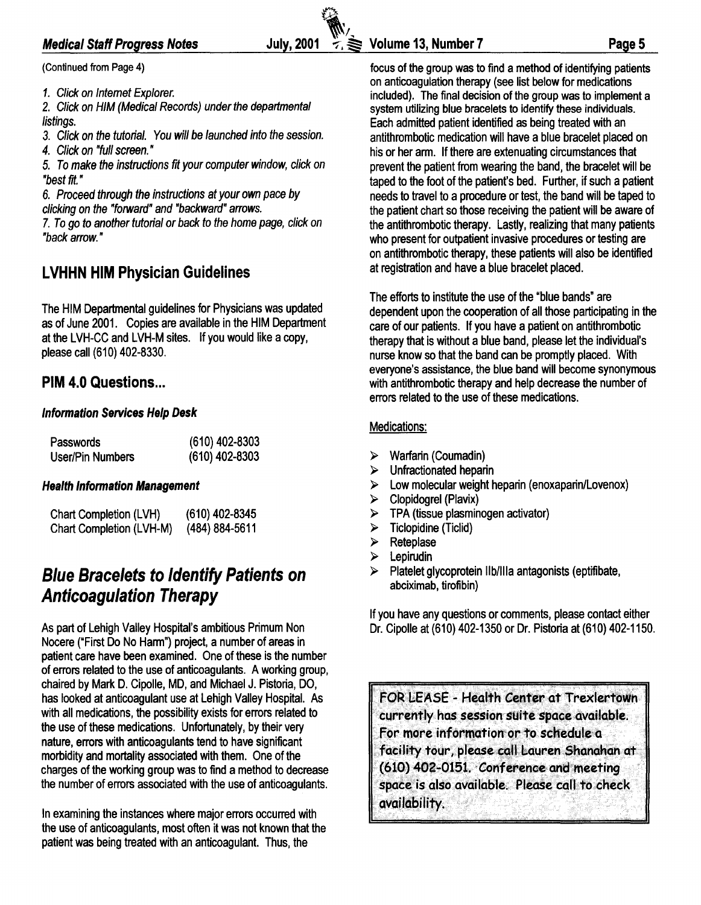#### Medical Staff Progress Notes

(Continued from Page 4)

1. Click on Internet Explorer.

2. Click on HIM (Medical Records) under the departmental listings.

3. Click on the tutorial. You will be launched into the session.

4. Click on "full screen. •

5. To make the instructions fit your computer window, click on "best fit. •

6. Proceed through the instructions at your own pace by clicking on the "forward" and "backward" arrows.

7. To go to another tutorial or back to the home page, click on "back arrow. •

# LVHHN HIM Physician Guidelines

The HIM Departmental guidelines for Physicians was updated as of June 2001. Copies are available in the HIM Department at the LVH-CC and LVH-M sites. If you would like a copy, please call (610) 402-8330.

## PIM 4.0 Questions...

#### Information Services Help Desk

| Passwords               | $(610)$ 402-8303 |
|-------------------------|------------------|
| <b>User/Pin Numbers</b> | $(610)$ 402-8303 |

#### Health Information Management

| Chart Completion (LVH)   | (610) 402-8345     |
|--------------------------|--------------------|
| Chart Completion (LVH-M) | $(484) 884 - 5611$ |

# Blue Bracelets to Identify Patients on Anticoagulation Therapy

As part of Lehigh Valley Hospital's ambitious Primum Non Nocere ("First Do No Harm") project, a number of areas in patient care have been examined. One of these is the number of errors related to the use of anticoagulants. A working group, chaired by Mark D. Cipolle, MD, and Michael J. Pistoria, DO, has looked at anticoagulant use at Lehigh Valley Hospital. As with all medications, the possibility exists for errors related to the use of these medications. Unfortunately, by their very nature, errors with anticoagulants tend to have significant morbidity and mortality associated with them. One of the charges of the working group was to find a method to decrease the number of errors associated with the use of anticoagulants.

In examining the instances where major errors occurred with the use of anticoagulants, most often it was not known that the patient was being treated with an anticoagulant. Thus, the

focus of the group was to find a method of identifying patients on anticoagulation therapy (see list below for medications included). The final decision of the group was to implement a system utilizing blue bracelets to identify these individuals. Each admitted patient identified as being treated with an antithrombotic medication will have a blue bracelet placed on his or her arm. If there are extenuating circumstances that prevent the patient from wearing the band, the bracelet will be taped to the foot of the patient's bed. Further, if such a patient needs to travel to a procedure or test, the band will be taped to the patient chart so those receiving the patient will be aware of the antithrombotic therapy. Lastly, realizing that many patients who present for outpatient invasive procedures or testing are on antithrombotic therapy, these patients will also be identified at registration and have a blue bracelet placed.

The efforts to institute the use of the "blue bands" are dependent upon the cooperation of all those participating in the care of our patients. If you have a patient on antithrombotic therapy that is without a blue band, please let the individual's nurse know so that the band can be promptly placed. With everyone's assistance, the blue band will become synonymous with antithrombotic therapy and help decrease the number of errors related to the use of these medications.

#### Medications:

- $\triangleright$  Warfarin (Coumadin)
- $\triangleright$  Unfractionated heparin
- $\triangleright$  Low molecular weight heparin (enoxaparin/Lovenox)
- $\triangleright$  Clopidogrel (Plavix)
- $\triangleright$  TPA (tissue plasminogen activator)
- $\triangleright$  Ticlopidine (Ticlid)
- $\triangleright$  Reteplase
- $\triangleright$  Lepirudin
- $\triangleright$  Platelet glycoprotein IIb/IIIa antagonists (eptifibate, abciximab, tirofibin)

If you have any questions or comments, please contact either Dr. Cipolla at (610) 402-1350 or Dr. Pistoria at (610) 402-1150.

FOR LEASE - Health Genter at Trexlertown currently has session suite space available. For more information or to schedule a facility tour, please call Lauren Shanahan at (610) 402-0151. Conference and meeting space is also available. Please call to check QvaiJability.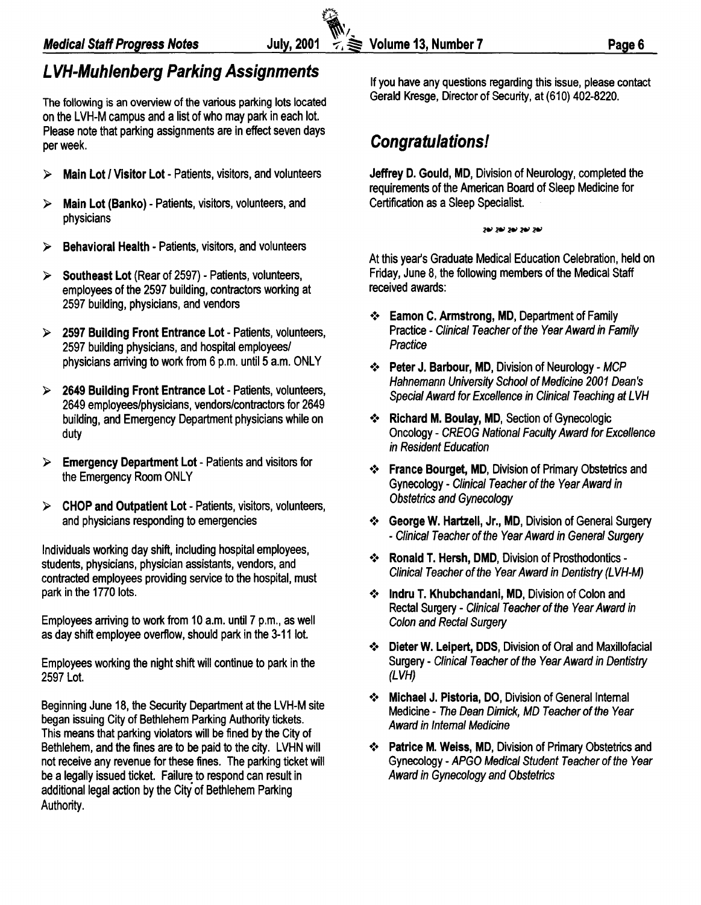# **L VH-Muhlenberg Parking Assignments**

The following is an overview of the various parking lots located on the LVH-M campus and a list of who may park in each lot. Please note that parking assignments are in effect seven days per week.

- <sup>~</sup>**Main Lot I Visitor Lot**  Patients, visitors, and volunteers
- <sup>~</sup>**Main Lot (Banko)**  Patients, visitors, volunteers, and physicians
- <sup>~</sup>**Behavioral Health**  Patients, visitors, and volunteers
- <sup>~</sup>**Southeast Lot** (Rear of 2597) Patients, volunteers, employees of the 2597 building, contractors working at 2597 building, physicians, and vendors
- <sup>~</sup>**2597 Building Front Entrance Lot**  Patients, volunteers, 2597 building physicians, and hospital employees/ physicians arriving to work from 6 p.m. until 5 a.m. ONLY
- <sup>~</sup>**2649 Building Front Entrance Lot**  Patients, volunteers, 2649 employees/physicians, vendors/contractors for 2649 building, and Emergency Department physicians while on duty
- <sup>~</sup>**Emergency Department Lot**  Patients and visitors for the Emergency Room ONLY
- <sup>~</sup>**CHOP and Outpatient Lot**  Patients, visitors, volunteers, and physicians responding to emergencies

Individuals working day shift, including hospital employees, students, physicians, physician assistants, vendors, and contracted employees providing service to the hospital, must park in the 1770 lots.

Employees arriving to work from 10 a.m. until? p.m., as well as day shift employee overflow, should park in the 3-11 lot.

Employees working the night shift will continue to park in the 2597 Lot.

Beginning June 18, the Security Department at the LVH-M site began issuing City of Bethlehem Parking Authority tickets. This means that parking violators will be fined by the City of Bethlehem, and the fines are to be paid to the city. LVHN will not receive any revenue for these fines. The parking ticket will be a legally issued ticket. Failure to respond can result in additional legal action by the City of Bethlehem Parking Authority.

If you have any questions regarding this issue, please contact Gerald Kresge, Director of Security, at (610) 402-8220.

# **Congratulations!**

**Jeffrey D. Gould, MD,** Division of Neurology, completed the requirements of the American Board of Sleep Medicine for Certification as a Sleep Specialist.

#### لوج نوح نوح نوح نوح

At this year's Graduate Medical Education Celebration, held on Friday, June 8, the following members of the Medical Staff received awards:

- •!• **Eamon C. Armstrong, MD,** Department of Family Practice- Clinical Teacher of the Year Award in Family **Practice**
- •!• **Peter J. Barbour, MD,** Division of Neurology- MCP Hahnemann University School of Medicine 2001 Dean's Special Award for Excellence in Clinical Teaching at LVH
- •!• **Richard M. Boulay, MD,** Section of Gynecologic Oncology - CREOG National Faculty Award for Excellence in Resident Education
- •!• **France Bourget, MD,** Division of Primary Obstetrics and Gynecology- Clinical Teacher of the Year Award in Obstetrics and Gynecology
- •!• **George W. Hartzell, Jr., MD,** Division of General Surgery -Clinical Teacher of the Year Award in General Surgery
- •!• **Ronald T. Hersh, DMD,** Division of Prosthodontics Clinical Teacher of the Year Award in Dentistry (LVH-M)
- •!• **lndru T. Khubchandanl, MD,** Division of Colon and Rectal Surgery- Clinical Teacher of the Year Award in Colon and Rectal Surgery
- •!• **Dieter W. Lei pert, DDS,** Division of Oral and Maxillofacial Surgery- Clinical Teacher of the Year Award in Dentistry (LVH)
- **Michael J. Pistoria, DO, Division of General Internal** Medicine- The Dean Dimick, MD Teacher of the Year Award in Internal Medicine
- •!• **Patrice M. Weiss, MD,** Division of Primary Obstetrics and Gynecology- APGO Medical Student Teacher of the Year Award in Gynecology and Obstetrics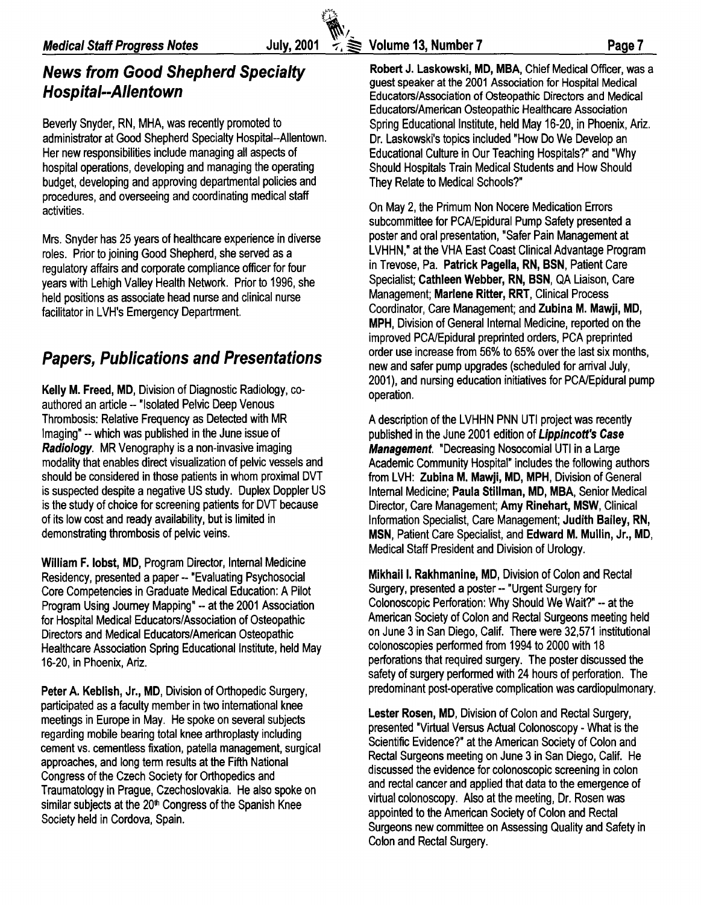Beverly Snyder, RN, MHA, was recently promoted to administrator at Good Shepherd Specialty Hospital--Allentown. Her new responsibilities include managing all aspects of hospital operations, developing and managing the operating budget, developing and approving departmental policies and procedures, and overseeing and coordinating medical staff activities.

Mrs. Snyder has 25 years of healthcare experience in diverse roles. Prior to joining Good Shepherd, she served as a regulatory affairs and corporate compliance officer for four years with Lehigh Valley Health Network. Prior to 1996, she held positions as associate head nurse and clinical nurse facilitator in LVH's Emergency Departrment.

# Papers, Publications and Presentations

Kelly M. Freed, MD, Division of Diagnostic Radiology, coauthored an article -- "Isolated Pelvic Deep Venous Thrombosis: Relative Frequency as Detected with MR Imaging" --which was published in the June issue of Radiology. MR Venography is a non-invasive imaging modality that enables direct visualization of pelvic vessels and should be considered in those patients in whom proximal DVT is suspected despite a negative US study. Duplex Doppler US is the study of choice for screening patients for DVT because of its low cost and ready availability, but is limited in demonstrating thrombosis of pelvic veins.

William F. lobst, MD, Program Director, Internal Medicine Residency, presented a paper-- "Evaluating Psychosocial Core Competencies in Graduate Medical Education: A Pilot Program Using Journey Mapping" -- at the 2001 Association for Hospital Medical Educators/Association of Osteopathic Directors and Medical Educators/American Osteopathic Healthcare Association Spring Educational Institute, held May 16-20, in Phoenix, Ariz.

Peter A. Keblish, Jr., MD, Division of Orthopedic Surgery, participated as a faculty member in two international knee meetings in Europe in May. He spoke on several subjects regarding mobile bearing total knee arthroplasty including cement vs. cementless fixation, patella management, surgical approaches, and long term results at the Fifth National Congress of the Czech Society for Orthopedics and Traumatology in Prague, Czechoslovakia. He also spoke on similar subjects at the 20<sup>th</sup> Congress of the Spanish Knee Society held in Cordova, Spain.

*(i\_,* 

News from Good Shepherd Specialty Robert J. Laskowski, MD, MBA, Chief Medical Officer, was a Hospital--Allentown guest speaker at the 2001 Association for Hospital Medical<br>Fducators/Association of Osteonathic Directors and Medical Educators/Association of Osteopathic Directors and Medical Educators/American Osteopathic Healthcare Association Spring Educational Institute, held May 16-20, in Phoenix, Ariz. Dr. Laskowski's topics included "How Do We Develop an Educational Culture in Our Teaching Hospitals?" and "Why Should Hospitals Train Medical Students and How Should They Relate to Medical Schools?"

> On May 2, the Primum Non Nocere Medication Errors subcommittee for PCA/Epidural Pump Safety presented a poster and oral presentation, "Safer Pain Management at LVHHN," at the VHA East Coast Clinical Advantage Program in Trevose, Pa. Patrick Pagella, RN, BSN, Patient Care Specialist; Cathleen Webber, RN, BSN, QA Liaison, Care Management; Marlene Ritter, RRT, Clinical Process Coordinator, Care Management; and Zubina M. Mawji, MD, MPH, Division of General Internal Medicine, reported on the improved PCA/Epidural preprinted orders, PCA preprinted order use increase from 56% to 65% over the last six months, new and safer pump upgrades (scheduled for arrival July, 2001), and nursing education initiatives for PCA/Epidural pump operation.

> A description of the LVHHN PNN UTI project was recently published in the June 2001 edition of Lippincott's Case Management. "Decreasing Nosocomial UTI in a Large Academic Community Hospital" includes the following authors from LVH: Zubina M. Mawji, MD, MPH, Division of General Internal Medicine; Paula Stillman, MD, MBA, Senior Medical Director, Care Management; Amy Rinehart, MSW, Clinical Information Specialist, Care Management; Judith Bailey, RN, MSN, Patient Care Specialist, and Edward M. Mullin, Jr., MD, Medical Staff President and Division of Urology.

> Mikhail I. Rakhmanine, MD, Division of Colon and Rectal Surgery, presented a poster-- "Urgent Surgery for Colonoscopic Perforation: Why Should We Wait?" -- at the American Society of Colon and Rectal Surgeons meeting held on June 3 in San Diego, Calif. There were 32,571 institutional colonoscopies performed from 1994 to 2000 with 18 perforations that required surgery. The poster discussed the safety of surgery performed with 24 hours of perforation. The predominant post-operative complication was cardiopulmonary.

Lester Rosen, MD, Division of Colon and Rectal Surgery, presented "Virtual Versus Actual Colonoscopy - What is the Scientific Evidence?" at the American Society of Colon and Rectal Surgeons meeting on June 3 in San Diego, Calif. He discussed the evidence for colonoscopic screening in colon and rectal cancer and applied that data to the emergence of virtual colonoscopy. Also at the meeting, Dr. Rosen was appointed to the American Society of Colon and Rectal Surgeons new committee on Assessing Quality and Safety in Colon and Rectal Surgery.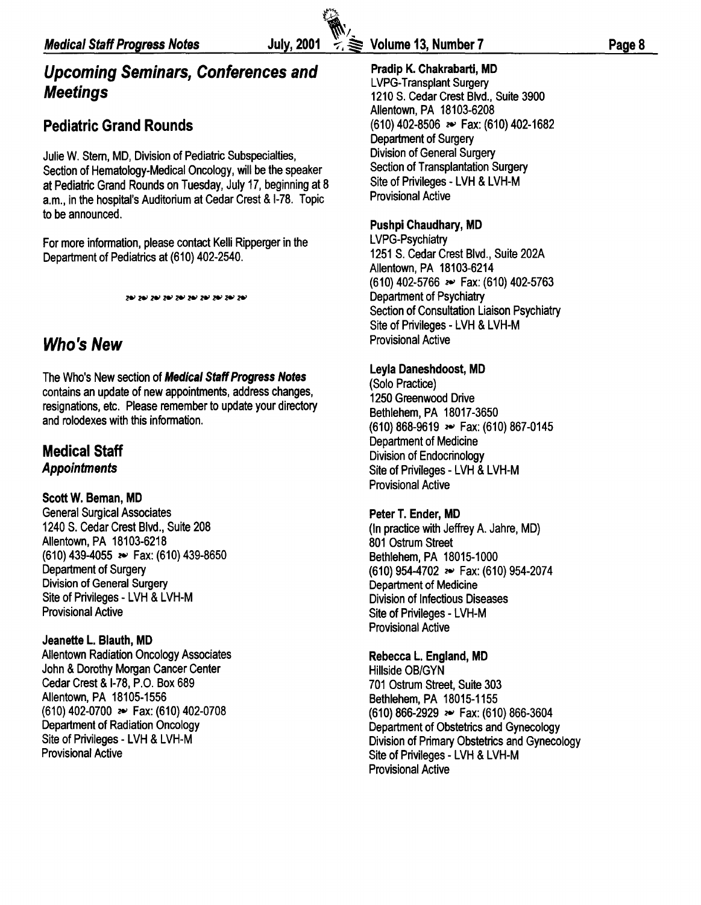# **Upcoming Seminars, Conferences and Meetings**

# **Pediatric Grand Rounds**

Julie W. Stem, MD, Division of Pediatric Subspecialties, Section of Hematology-Medical Oncology, will be the speaker at Pediatric Grand Rounds on Tuesday, July 17, beginning at 8 a.m., in the hospital's Auditorium at Cedar Crest & 1-78. Topic to be announced.

For more information, please contact Kelli Ripperger in the Department of Pediatrics at (610) 402-2540.

# **Who's New**

The Who's New section of **Medical Staff Progress Notes**  contains an update of new appointments, address changes, resignations, etc. Please remember to update your directory and rolodexes with this information.

# **Medical Staff Appointments**

#### **ScottW. Beman, MD**

General Surgical Associates 1240 S. Cedar Crest Blvd., Suite 208 Allentown, PA 18103-6218 (610) 439-4055 ~ Fax: (610) 439-8650 Department of Surgery Division of General Surgery Site of Privileges - LVH & LVH-M Provisional Active

#### **Jeanette L. Blauth, MD**

Allentown Radiation Oncology Associates John & Dorothy Morgan Cancer Center Cedar Crest & 1-78, P.O. Box 689 Allentown, PA 18105-1556 (610) 402-0700 ~ Fax: (610) 402-0708 Department of Radiation Oncology Site of Privileges - LVH & LVH-M Provisional Active

 $\mathbb{R}$ 

### **Pradip K. Chakrabarti, MD**

LVPG-Transplant Surgery 1210 S. Cedar Crest Blvd., Suite 3900 Allentown, PA 18103-6208 (610) 402-8506 ~ Fax: (610) 402-1682 Department of Surgery Division of General Surgery Section of Transplantation Surgery Site of Privileges - LVH & LVH-M Provisional Active

#### **Pushpi Chaudhary, MD**

LVPG-Psychiatry 1251 S. Cedar Crest Blvd., Suite 202A Allentown, PA 18103-6214 (610) 402-5766 ~ Fax: (610) 402-5763 Department of Psychiatry Section of Consultation Liaison Psychiatry Site of Privileges - LVH & LVH-M Provisional Active

#### **Leyla Daneshdoost, MD**

(Solo Practice) 1250 Greenwood Drive Bethlehem, PA 18017-3650 (610) 868-9619 ~ Fax: (610) 867-0145 Department of Medicine Division of Endocrinology Site of Privileges - LVH & LVH-M Provisional Active

#### **Peter T. Ender, MD**

(In practice with Jeffrey A. Jahre, MD) 801 Ostrum Street Bethlehem, PA 18015-1000 (610) 954-4702 ~ Fax: (610) 954-2074 Department of Medicine Division of Infectious Diseases Site of Privileges - LVH-M Provisional Active

#### **Rebecca L. England, MD**

Hillside OB/GYN 701 Ostrum Street, Suite 303 Bethlehem, PA 18015-1155 (610) 866-2929 ~ Fax: (610) 866-3604 Department of Obstetrics and Gynecology Division of Primary Obstetrics and Gynecology Site of Privileges - LVH & LVH-M Provisional Active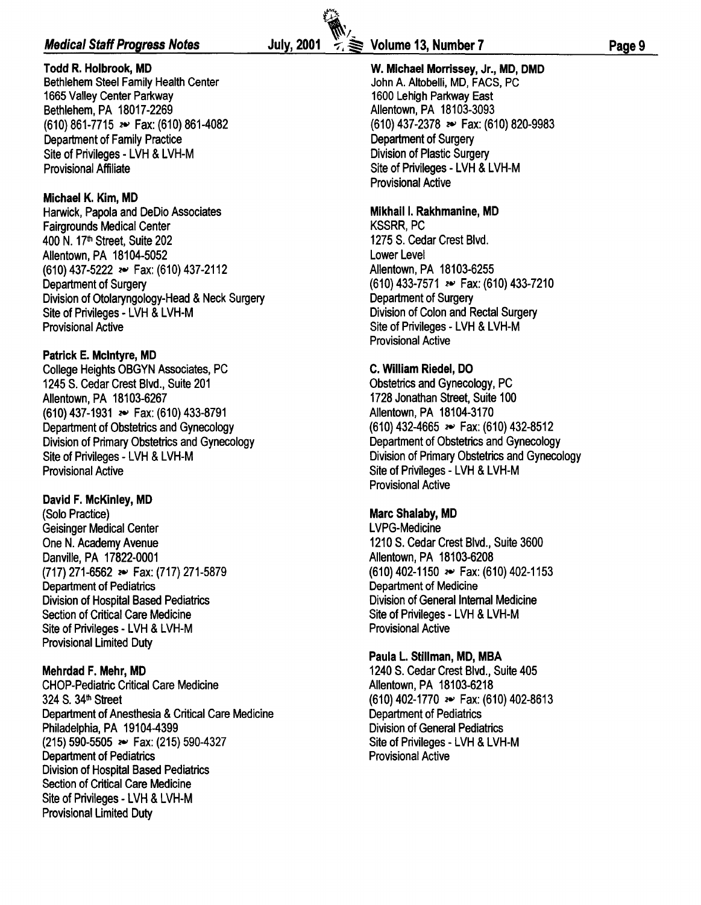#### **Medical Staff Progress Notes** *July***, 2001**  $\leq$  $\geq$  **Volume 13, Number 7**

**Todd R. Holbrook, MD**  Bethlehem Steel Family Health Center 1665 Valley Center Parkway Bethlehem, PA 18017-2269 (610) 861-7715 *:e->* Fax: (610) 861-4082 Department of Family Practice Site of Privileges - LVH & LVH-M Provisional Affiliate

#### **Michael K. Kim, MD**

Harwick, Papola and DeDio Associates Fairgrounds Medical Center 400 N. 17th Street, Suite 202 Allentown, PA 18104-5052 (61 0) 437-5222 *:e->* Fax: (61 0) 437-2112 Department of Surgery Division of Otolaryngology-Head & Neck Surgery Site of Privileges - LVH & LVH-M Provisional Active

#### **Patrick E. Mcintyre, MD**

College Heights OBGYN Associates, PC 1245 S. Cedar Crest Blvd., Suite 201 Allentown, PA 18103-6267 (610) 437-1931 *:e->* Fax: (610) 433-8791 Department of Obstetrics and Gynecology Division of Primary Obstetrics and Gynecology Site of Privileges - LVH & LVH-M Provisional Active

#### **David F. McKinley, MD**

(Solo Practice) Geisinger Medical Center One N. Academy Avenue Danville, PA 17822-0001 (717) 271-6562 *:e->* Fax: (717) 271-5879 Department of Pediatrics Division of Hospital Based Pediatrics Section of Critical Care Medicine Site of Privileges - LVH & LVH-M Provisional Limited Duty

#### **Mehrdad F. Mehr, MD**

CHOP-Pediatric Critical Care Medicine 324 S. 34<sup>th</sup> Street Department of Anesthesia & Critical Care Medicine Philadelphia, PA 19104-4399 (215) 590-5505 *:e->* Fax: (215) 590-4327 Department of Pediatrics Division of Hospital Based Pediatrics Section of Critical Care Medicine Site of Privileges - LVH & LVH-M Provisional Limited Duty

 $\mathbb{R}$ .

John A. Altobelli, MD, FACS, PC 1600 Lehigh Parkway East Allentown, PA 18103-3093 (610) 437-2378 *:e->* Fax: (610) 820-9983 Department of Surgery Division of Plastic Surgery Site of Privileges - LVH & LVH-M Provisional Active

#### **Mikhail I. Rakhmanine, MD**

KSSRR, PC 1275 S. Cedar Crest Blvd. Lower Level Allentown, PA 18103-6255 (610) 433-7571 *:e->* Fax: (610) 433-7210 Department of Surgery Division of Colon and Rectal Surgery Site of Privileges - LVH & LVH-M Provisional Active

#### **C. William Riedel, DO**

Obstetrics and Gynecology, PC 1728 Jonathan Street, Suite 100 Allentown, PA 18104-3170 (610) 432-4665 *:e->* Fax: (610) 432-8512 Department of Obstetrics and Gynecology Division of Primary Obstetrics and Gynecology Site of Privileges - LVH & LVH-M Provisional Active

#### **Marc Shalaby, MD**

LVPG-Medicine 1210 S. Cedar Crest Blvd., Suite 3600 Allentown, PA 18103-6208 (61 0) 402-1150 *:e->* Fax: (61 0) 402-1153 Department of Medicine Division of General Internal Medicine Site of Privileges - LVH & LVH-M Provisional Active

#### **Paula L. Stillman, MD, MBA**

1240 S. Cedar Crest Blvd., Suite 405 Allentown, PA 18103-6218 (610) 402-1770 *:e->* Fax: (610) 402-8613 Department of Pediatrics Division of General Pediatrics Site of Privileges - LVH & LVH-M Provisional Active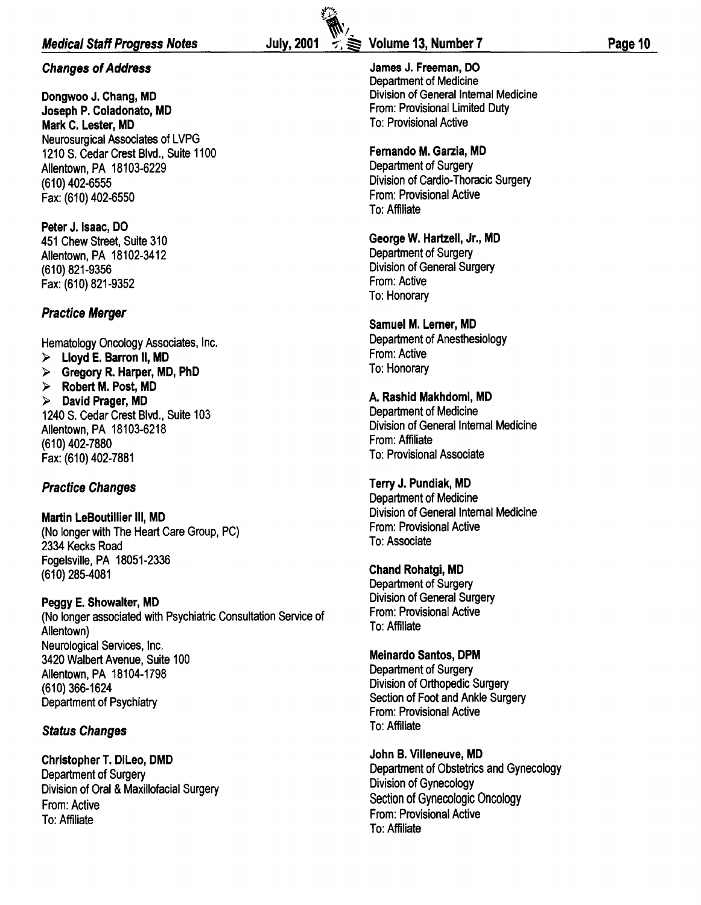#### Medical Staff Progress Notes

#### Changes of Address

Dongwoo J. Chang, MD Joseph P. Coladonato, MD Mark C. Lester, MD Neurosurgical Associates of LVPG 1210 S. Cedar Crest Blvd., Suite 1100 Allentown, PA 18103-6229 (610) 402-6555 Fax: (610) 402-6550

Peter J. Isaac, DO 451 Chew Street, Suite 310 Allentown, PA 18102-3412 (610) 821-9356 Fax: (610) 821-9352

#### Practice Merger

Hematology Oncology Associates, Inc.

 $>$  Lloyd E. Barron II, MD

 $\triangleright$  Gregory R. Harper, MD, PhD

 $\triangleright$  Robert M. Post, MD  $\triangleright$  David Prager, MD 1240 S. Cedar Crest Blvd., Suite 103 Allentown, PA 18103-6218 (610) 402-7880

Fax: (610) 402-7881

#### Practice Changes

Martin LeBoutillier Ill, MD (No longer with The Heart Care Group, PC) 2334 Kecks Road Fogelsville, PA 18051-2336 (610) 285-4081

Peggy E. Showalter, MD (No longer associated with Psychiatric Consultation Service of Allentown) Neurological Services, Inc. 3420 Walbert Avenue, Suite 100 Allentown, PA 18104-1798 (610) 366-1624 Department of Psychiatry

#### Status Changes

Christopher T. Dileo, DMD Department of Surgery Division of Oral & Maxillofacial Surgery From: Active To: Affiliate

**Glas** 

James J. Freeman, DO Department of Medicine Division of General Internal Medicine From: Provisional Limited Duty To: Provisional Active

#### Fernando M. Garzia, MD

Department of Surgery Division of Cardio-Thoracic Surgery From: Provisional Active To: Affiliate

George W. Hartzell, Jr., MD Department of Surgery Division of General Surgery From: Active To: Honorary

Samuel M. Lerner, MD Department of Anesthesiology From: Active To: Honorary

A. Rashid Makhdomi, MD Department of Medicine Division of General Internal Medicine From: Affiliate To: Provisional Associate

Terry J. Pundiak, MD Department of Medicine Division of General Internal Medicine From: Provisional Active To: Associate

Chand Rohatgi, MD Department of Surgery Division of General Surgery From: Provisional Active To: Affiliate

Meinardo Santos, DPM Department of Surgery Division of Orthopedic Surgery Section of Foot and Ankle Surgery From: Provisional Active To: Affiliate

John B. Villeneuve, MD Department of Obstetrics and Gynecology Division of Gynecology Section of Gynecologic Oncology From: Provisional Active To: Affiliate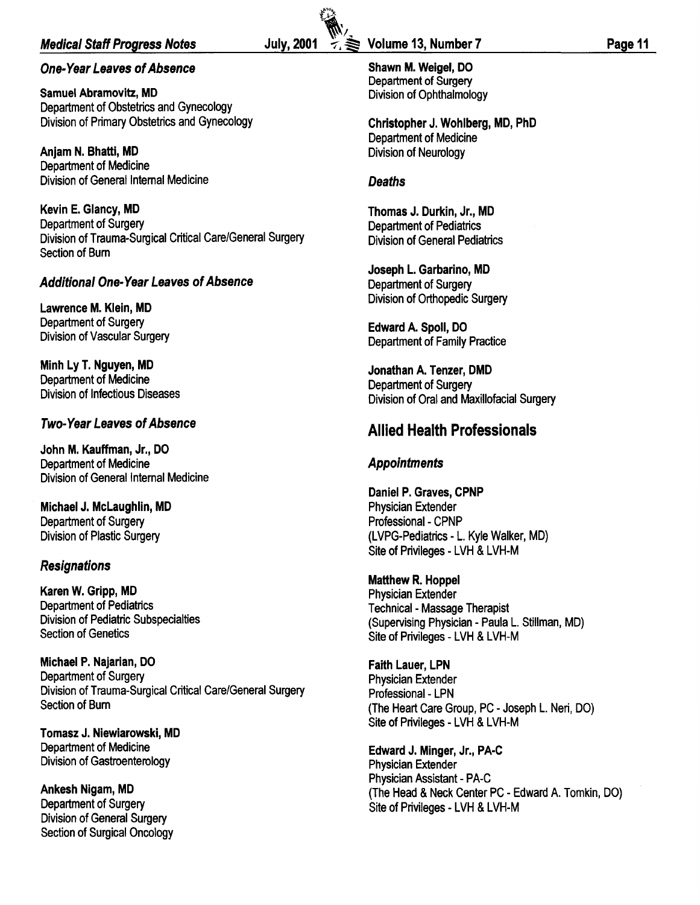#### Medical Staff Progress Notes

#### One-Year Leaves of Absence

Samuel Abramovitz, MD Department of Obstetrics and Gynecology Division of Primary Obstetrics and Gynecology

Anjam N. Bhatti, MD Department of Medicine Division of General Internal Medicine

Kevin E. Glancy, MD Department of Surgery Division of Trauma-Surgical Critical Care/General Surgery Section of Bum

#### Additional One-Year Leaves of Absence

Lawrence M. Klein, MD Department of Surgery Division of Vascular Surgery

Minh Ly T. Nguyen, MD Department of Medicine Division of Infectious Diseases

#### Two-Year Leaves of Absence

John M. Kauffman, Jr., DO Department of Medicine Division of General Internal Medicine

Michael J. Mclaughlin, MD Department of Surgery Division of Plastic Surgery

#### **Resignations**

Karen W. Gripp, MD Department of Pediatrics Division of Pediatric Subspecialties Section of Genetics

Michael P. Najarian, DO Department of Surgery Division of Trauma-Surgical Critical Care/General Surgery Section of Bum

Tomasz J. Niewiarowski, MD Department of Medicine Division of Gastroenterology

Ankesh Nigam, MD Department of Surgery Division of General Surgery Section of Surgical Oncology

#### July, 2001  $\div \geqslant$  Volume 13, Number 7 Page 11

Shawn M. Weigel, DO Department of Surgery Division of Ophthalmology

Christopher J. Wahlberg, MD, PhD Department of Medicine Division of Neurology

#### **Deaths**

 $\sum_{i=1}^n$ 

Thomas J. Durkin, Jr., MD Department of Pediatrics Division of General Pediatrics

Joseph L. Garbarino, MD Department of Surgery Division of Orthopedic Surgery

Edward A. Spoil, DO Department of Family Practice

Jonathan A. Tenzer, DMD Department of Surgery Division of Oral and Maxillofacial Surgery

#### Allied Health Professionals

#### Appointments

Daniel P. Graves, CPNP Physician Extender Professional - CPNP (LVPG-Pediatrics - L. Kyle Walker, MD) Site of Privileges - LVH & LVH-M

Matthew R. Hoppel Physician Extender Technical- Massage Therapist (Supervising Physician - Paula L. Stillman, MD) Site of Privileges - LVH & LVH-M

Faith Lauer, LPN Physician Extender Professional - LPN (The Heart Care Group, PC- Joseph L. Neri, DO) Site of Privileges - LVH & LVH-M

Edward J. Minger, Jr., PA-C Physician Extender Physician Assistant- PA-C (The Head & Neck Center PC- Edward A. Tomkin, DO) Site of Privileges - LVH & LVH-M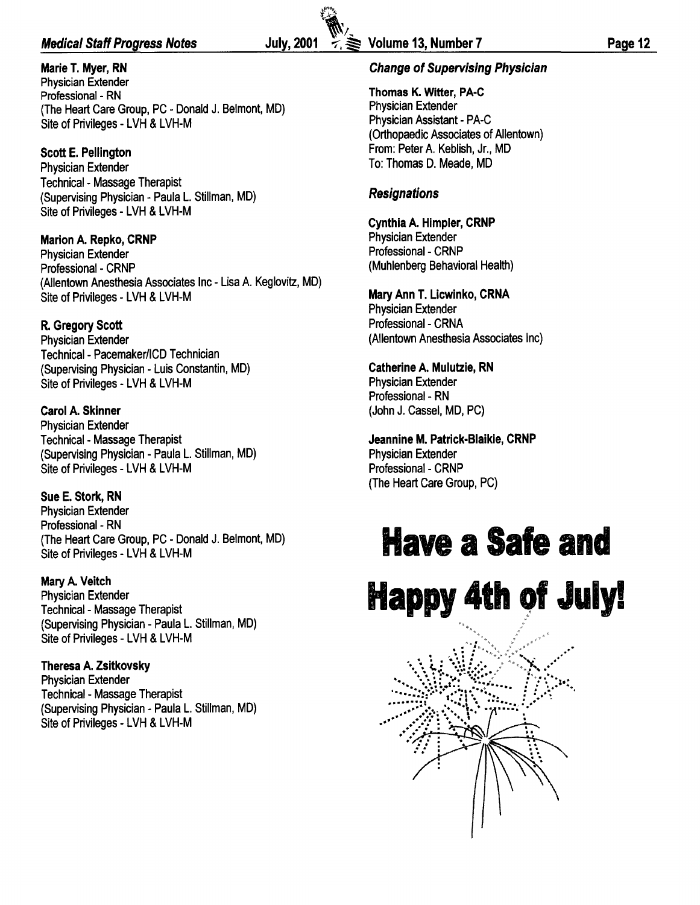#### Medical Staff Progress Notes  $\qquad \qquad$  July, 2001  $\qquad \geq \qquad$  Volume 13, Number 7 Page 12

Marie T. Myer, RN Physician Extender Professional - RN (The Heart Care Group, PC- Donald J. Belmont, MD) Site of Privileges - LVH & LVH-M

Scott E. Pellington Physician Extender Technical- Massage Therapist (Supervising Physician - Paula L. Stillman, MD) Site of Privileges - LVH & LVH-M

Marion A. Repko, CRNP Physician Extender Professional - CRNP (Allentown Anesthesia Associates Inc- Lisa A. Keglovitz, MD) Site of Privileges - LVH & LVH-M

R. Gregory Scott Physician Extender Technical- Pacemaker/ICD Technician (Supervising Physician - Luis Constantin, MD) Site of Privileges - LVH & LVH-M

Carol A. Skinner Physician Extender Technical- Massage Therapist (Supervising Physician - Paula L. Stillman, MD) Site of Privileges - LVH & LVH-M

Sue E. Stork, RN Physician Extender Professional - RN (The Heart Care Group, PC - Donald J. Belmont, MD) Site of Privileges - LVH & LVH-M

Mary A. Veitch Physician Extender Technical- Massage Therapist (Supervising Physician - Paula L. Stillman, MD) Site of Privileges - LVH & LVH-M

Theresa A. Zsitkovsky Physician Extender Technical- Massage Therapist (Supervising Physician - Paula L. Stillman, MD) Site of Privileges - LVH & LVH-M

Thomas K. Witter, PA-C Physician Extender Physician Assistant- PA-C (Orthopaedic Associates of Allentown) From: Peter A. Keblish, Jr., MD To: Thomas D. Meade, MD

#### Resignations

Cynthia A. Himpler, CRNP Physician Extender Professional- CRNP (Muhlenberg Behavioral Health)

Mary Ann T. Licwinko, CRNA Physician Extender Professional - CRNA (Allentown Anesthesia Associates Inc)

Catherine A. Mulutzie, RN Physician Extender Professional - RN (John J. Cassel, MD, PC)

Jeannine M. Patrick-Biaikie, CRNP Physician Extender Professional - CRNP (The Heart Care Group, PC)

# **Have a Safe and Happy 4th 9f Julyl**

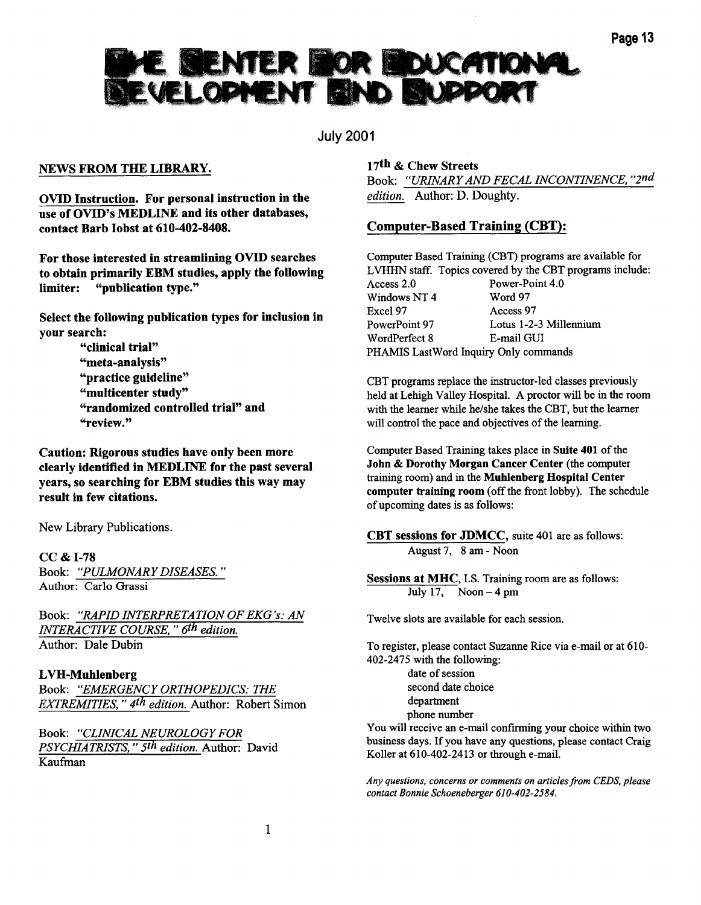# HE BENTER HOR HOUCATION<br>EVELOPMENT HEND BLUPPORT

July 2001

#### NEWS FROM THE LIBRARY.

OVID Instruction. For personal instruction in the use of OVID's MEDLINE and its other databases, contact Barb Jobst at 610-402-8408.

For those interested in streamlining OVID searches to obtain primarily EBM studies, apply the following limiter: "publication type."

Select the following publication types for inclusion in your search:

> "clinical trial" "meta-analysis" "practice guideline" "multicenter study" "randomized controlled trial" and "review."

Caution: Rigorous studies have only been more clearly identified in MEDLINE for the past several years, so searching for EBM studies this way may result in few citations.

New Library Publications.

cc & 1-78 Book: *"PULMONARY DISEASES.* " Author: Carlo Grassi

Book: *"RAPID INTERPRETATION OF EKG's: AN INTERACTIVE COURSE," 6th edition.*  Author: Dale Dubin

#### L VH-Muhlenberg

Book: *"EMERGENCY ORTHOPEDICS: THE EXTREMITIES,* " *4th edition.* Author: Robert Simon

Book: *"CLINICAL NEUROLOGY FOR PSYCHIATRISTS,* " *5th edition.* Author: David Kaufman

#### 17th & Chew Streets

Book: *"URINARY AND FECAL INCONTINENCE, "2nd edition.* Author: D. Doughty.

#### Computer-Based Training (CBT):

Computer Based Training (CBT) programs are available for LVHHN staff. Topics covered by the CBT programs include: Access 2.0 Power-Point 4.0<br>Windows NT 4 Word 97 Windows NT 4 Excel 97 Access 97 PowerPoint 97 Lotus 1-2-3 Millennium WordPerfect 8 E-mail GUI PHAMIS LastWord Inquiry Only commands

CBT programs replace the instructor-led classes previously held at Lehigh Valley Hospital. A proctor will be in the room with the learner while he/she takes the CBT, but the learner will control the pace and objectives of the learning.

Computer Based Training takes place in Suite 401 of the John & Dorothy Morgan Cancer Center (the computer training room) and in the Muhlenberg Hospital Center computer training room (off the front lobby). The schedule of upcoming dates is as follows:

CBT sessions for JDMCC, suite 401 are as follows: August 7, 8 am- Noon

Sessions at MHC, I.S. Training room are as follows: July 17, Noon  $-4$  pm

Twelve slots are available for each session.

To register, please contact Suzanne Rice via e-mail or at 610- 402-2475 with the following: date of session second date choice department phone number

You will receive an e-mail confirming your choice within two business days. If you have any questions, please contact Craig Koller at 610-402-2413 or through e-mail.

*Any questions, concerns or comments on articles from CEDS, please contact Bonnie Schoeneberger 610-402-2584.*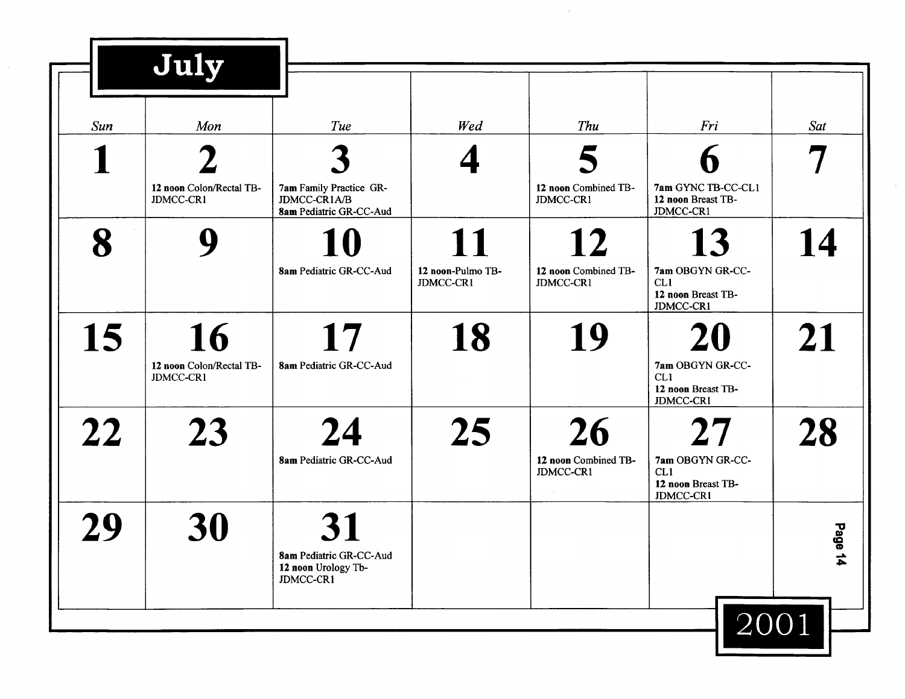|     | July                                        |                                                                    |                                      |                                                |                                                                               |                   |
|-----|---------------------------------------------|--------------------------------------------------------------------|--------------------------------------|------------------------------------------------|-------------------------------------------------------------------------------|-------------------|
| Sun | Mon                                         | Tue                                                                | Wed                                  | Thu                                            | Fri                                                                           | Sat               |
|     | 12 noon Colon/Rectal TB-<br>JDMCC-CR1       | 7am Family Practice GR-<br>JDMCC-CR1A/B                            |                                      | 12 noon Combined TB-<br>JDMCC-CR1              | 7am GYNC TB-CC-CL1<br>12 noon Breast TB-                                      |                   |
| 8   |                                             | 8am Pediatric GR-CC-Aud<br>8am Pediatric GR-CC-Aud                 | 11<br>12 noon-Pulmo TB-<br>JDMCC-CR1 | 12<br>12 noon Combined TB-<br>JDMCC-CR1        | JDMCC-CR1<br>13<br>7am OBGYN GR-CC-<br>CL1<br>12 noon Breast TB-<br>JDMCC-CR1 | 14                |
| 15  | 16<br>12 noon Colon/Rectal TB-<br>JDMCC-CR1 | 17<br>8am Pediatric GR-CC-Aud                                      | 18                                   | 19                                             | 7am OBGYN GR-CC-<br>CL1<br>12 noon Breast TB-<br>JDMCC-CR1                    | 21                |
| 22  | 23                                          | 24<br>8am Pediatric GR-CC-Aud                                      | 25                                   | <b>26</b><br>12 noon Combined TB-<br>JDMCC-CR1 | 7am OBGYN GR-CC-<br>CL1<br>12 noon Breast TB-<br><b>JDMCC-CR1</b>             | <b>28</b>         |
| 29  | 30                                          | <b>8am Pediatric GR-CC-Aud</b><br>12 noon Urology Tb-<br>JDMCC-CR1 |                                      |                                                |                                                                               | Page<br>$\vec{4}$ |
|     |                                             |                                                                    |                                      |                                                | 2001                                                                          |                   |

 $\mathcal{L}_{\text{max}}$ 

 $\sim$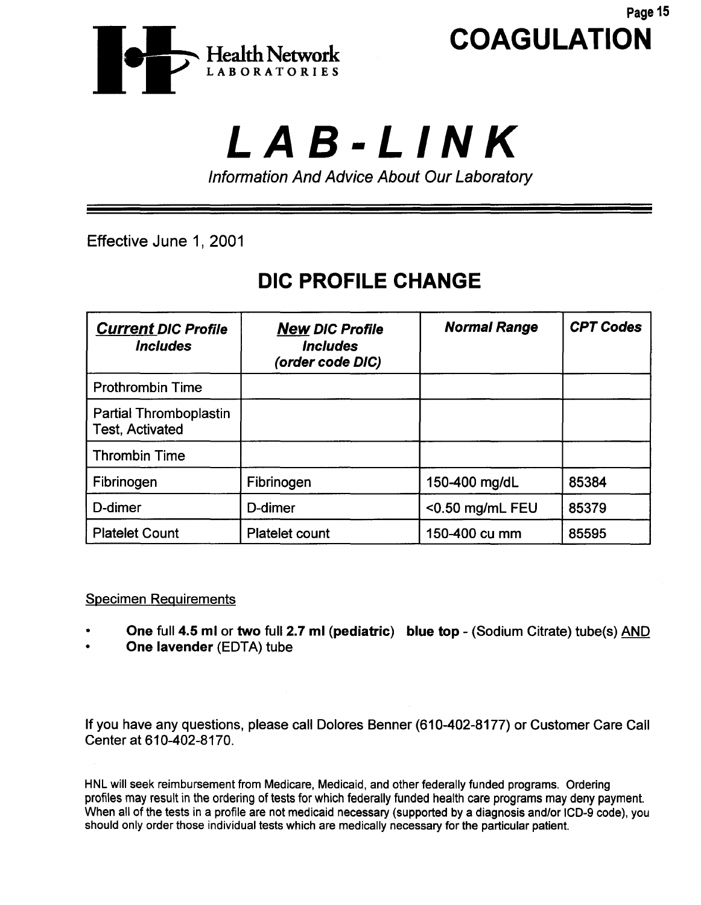

Page 15

# LAB-LINK

Information And Advice About Our Laboratory

Effective June 1, 2001

# DIC PROFILE CHANGE

| <b>Current DIC Profile</b><br><i><b>Includes</b></i> | <b>New DIC Profile</b><br><b>Includes</b><br>(order code DIC) | <b>Normal Range</b> | <b>CPT Codes</b> |
|------------------------------------------------------|---------------------------------------------------------------|---------------------|------------------|
| <b>Prothrombin Time</b>                              |                                                               |                     |                  |
| Partial Thromboplastin<br><b>Test, Activated</b>     |                                                               |                     |                  |
| <b>Thrombin Time</b>                                 |                                                               |                     |                  |
| Fibrinogen                                           | Fibrinogen                                                    | 150-400 mg/dL       | 85384            |
| D-dimer                                              | D-dimer                                                       | <0.50 mg/mL FEU     | 85379            |
| <b>Platelet Count</b>                                | <b>Platelet count</b>                                         | 150-400 cu mm       | 85595            |

Specimen Reguirements

- One full 4.5 ml or two full 2.7 ml (pediatric) blue top (Sodium Citrate) tube(s) AND
- One lavender (EDTA) tube

If you have any questions, please call Dolores Benner (610-402-8177) or Customer Care Call Center at 610-402-8170.

HNL will seek reimbursement from Medicare, Medicaid, and other federally funded programs. Ordering profiles may result in the ordering of tests for which federally funded health care programs may deny payment. When all of the tests in a profile are not medicaid necessary (supported by a diagnosis and/or ICD-9 code), you should only order those individual tests which are medically necessary for the particular patient.